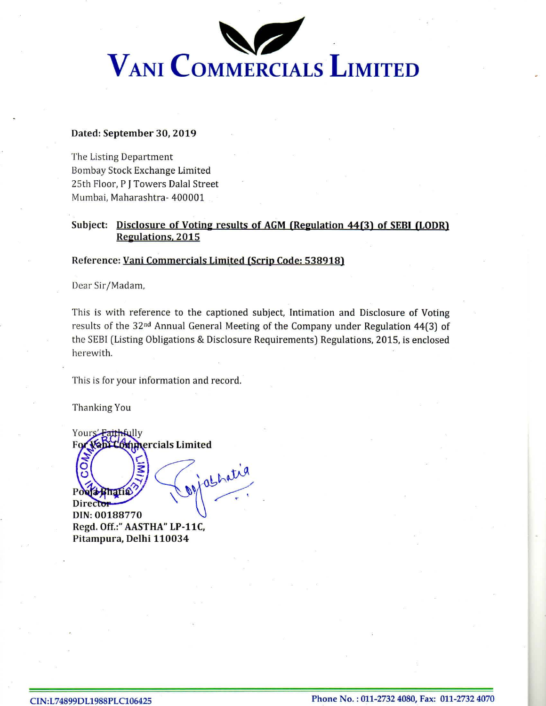

## Dated: September 30, 2019

The Listing Department Bombay Stock Exchange Limited 25th Floor, PI Towers Dalal Street Mumbai, Maharashtra- 400001

## Subject: Disclosure of Voting results of AGM (Regulation 44(3) of SEBI (LODR) Reeulations. 2015

## Reference: Vani Commercials Limited (Scrip Code: 538918)

Dear Sir/Madam,

This is with reference to the captioned subject, Intimation and Disclosure of Voting results of the 32nd Annual General Meeting of the Company under Regulation 44(3) of the SEBI (Listing Obligations & Disclosure Requirements) Regulations, 2015, is enclosed herewith.

This is for your information and record.-

Thanking You

ò

Yours<del>' Faithf</del>ully **Mimercials Limited** For Vanil

jathatia **Ja Bhatia** DIN: 00188770 Regd. Off.:" AASTHA" LP-11C, Pitampura, Delhi 110034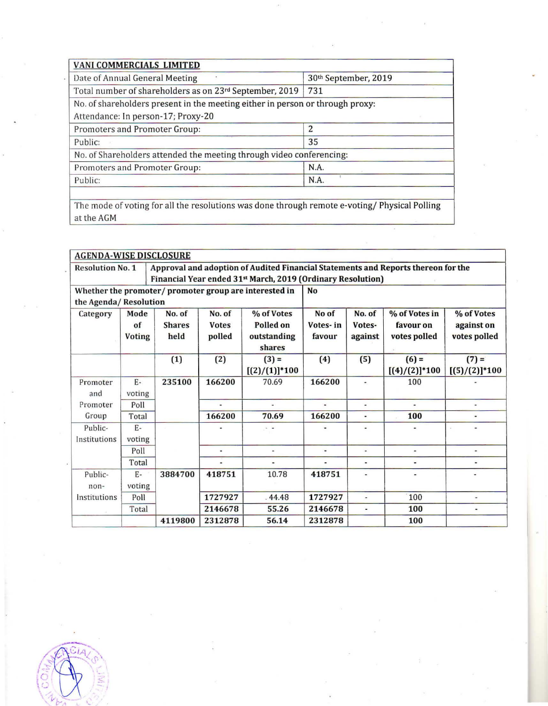| VANI COMMERCIALS LIMITED                                                      |                      |  |  |  |  |
|-------------------------------------------------------------------------------|----------------------|--|--|--|--|
| Date of Annual General Meeting                                                | 30th September, 2019 |  |  |  |  |
| Total number of shareholders as on 23rd September, 2019                       | 731                  |  |  |  |  |
| No. of shareholders present in the meeting either in person or through proxy: |                      |  |  |  |  |
| Attendance: In person-17; Proxy-20                                            |                      |  |  |  |  |
| Promoters and Promoter Group:                                                 |                      |  |  |  |  |
| Public:                                                                       | 35                   |  |  |  |  |
| No. of Shareholders attended the meeting through video conferencing:          |                      |  |  |  |  |
| Promoters and Promoter Group:                                                 | N.A.                 |  |  |  |  |
| Public:                                                                       | N.A.                 |  |  |  |  |
|                                                                               |                      |  |  |  |  |

The mode of voting for all the resolutions was done through remote e-voting/ Physical Polling at the AGM

| <b>AGENDA-WISE DISCLOSURE</b>                          |                             |                                 |                                  |                                                                                                                                                              |                             |                             |                                            |                                          |  |  |
|--------------------------------------------------------|-----------------------------|---------------------------------|----------------------------------|--------------------------------------------------------------------------------------------------------------------------------------------------------------|-----------------------------|-----------------------------|--------------------------------------------|------------------------------------------|--|--|
| <b>Resolution No. 1</b>                                |                             |                                 |                                  | Approval and adoption of Audited Financial Statements and Reports thereon for the<br>Financial Year ended 31 <sup>st</sup> March, 2019 (Ordinary Resolution) |                             |                             |                                            |                                          |  |  |
| Whether the promoter/ promoter group are interested in |                             |                                 |                                  |                                                                                                                                                              | <b>No</b>                   |                             |                                            |                                          |  |  |
| the Agenda/Resolution                                  |                             |                                 |                                  |                                                                                                                                                              |                             |                             |                                            |                                          |  |  |
| Category                                               | Mode<br>of<br><b>Voting</b> | No. of<br><b>Shares</b><br>held | No. of<br><b>Votes</b><br>polled | % of Votes<br>Polled on<br>outstanding<br>shares                                                                                                             | No of<br>Votes-in<br>favour | No. of<br>Votes-<br>against | % of Votes in<br>favour on<br>votes polled | % of Votes<br>against on<br>votes polled |  |  |
|                                                        |                             | (1)                             | (2)                              | $(3) =$<br>$[(2)/(1)]$ *100                                                                                                                                  | (4)                         | (5)                         | $(6) =$<br>$[(4)/(2)]$ * 100               | $(7) =$<br>$[(5)/(2)]^{*}100$            |  |  |
| Promoter<br>and                                        | $E-$<br>voting              | 235100                          | 166200                           | 70.69                                                                                                                                                        | 166200                      | ٠                           | 100                                        |                                          |  |  |
| Promoter                                               | Poll                        |                                 |                                  |                                                                                                                                                              |                             | $\blacksquare$              |                                            |                                          |  |  |
| Group                                                  | Total                       |                                 | 166200                           | 70.69                                                                                                                                                        | 166200                      |                             | 100                                        | ٠                                        |  |  |
| Public-<br>Institutions                                | $E -$<br>voting             |                                 |                                  | $\sim$                                                                                                                                                       |                             |                             |                                            |                                          |  |  |
|                                                        | Poll                        |                                 | $\ddot{}$                        | ¥                                                                                                                                                            | ٠                           | ¥.                          | $\blacksquare$                             | ۰                                        |  |  |
|                                                        | Total                       |                                 | $\overline{\phantom{a}}$         | $\blacksquare$                                                                                                                                               |                             | $\blacksquare$              | $\blacksquare$                             | $\overline{\phantom{a}}$                 |  |  |
| Public-<br>non-                                        | $E -$<br>voting             | 3884700                         | 418751                           | 10.78                                                                                                                                                        | 418751                      | $\frac{1}{2}$               |                                            | ٠                                        |  |  |
| Institutions                                           | Poll                        |                                 | 1727927                          | .44.48                                                                                                                                                       | 1727927                     | ÷                           | 100                                        | ٠                                        |  |  |
|                                                        | Total                       |                                 | 2146678                          | 55.26                                                                                                                                                        | 2146678                     | $\overline{\phantom{a}}$    | 100                                        | $\blacksquare$                           |  |  |
|                                                        |                             | 4119800                         | 2312878                          | 56.14                                                                                                                                                        | 2312878                     |                             | 100                                        |                                          |  |  |

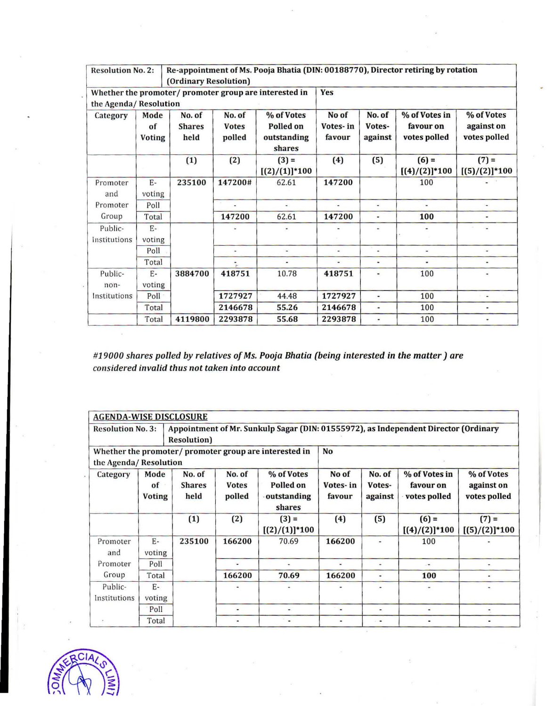| <b>Resolution No. 2:</b>                                                        |                             | (Ordinary Resolution)           |                                  |                                                  |                             | Re-appointment of Ms. Pooja Bhatia (DIN: 00188770), Director retiring by rotation |                                            |                                          |  |  |
|---------------------------------------------------------------------------------|-----------------------------|---------------------------------|----------------------------------|--------------------------------------------------|-----------------------------|-----------------------------------------------------------------------------------|--------------------------------------------|------------------------------------------|--|--|
| Whether the promoter/ promoter group are interested in<br>the Agenda/Resolution |                             |                                 |                                  |                                                  | <b>Yes</b>                  |                                                                                   |                                            |                                          |  |  |
| Category                                                                        | Mode<br>of<br><b>Voting</b> | No. of<br><b>Shares</b><br>held | No. of<br><b>Votes</b><br>polled | % of Votes<br>Polled on<br>outstanding<br>shares | No of<br>Votes-in<br>favour | No. of<br>Votes-<br>against                                                       | % of Votes in<br>favour on<br>votes polled | % of Votes<br>against on<br>votes polled |  |  |
|                                                                                 |                             | (1)                             | (2)                              | $(3) =$<br>$[(2)/(1)]^{*}100$                    | (4)                         | (5)                                                                               | $(6) =$<br>$[(4)/(2)]^{*}100$              | $(7) =$<br>$[(5)/(2)]$ *100              |  |  |
| Promoter<br>and                                                                 | $E-$<br>voting              | 235100                          | 147200#                          | 62.61                                            | 147200                      |                                                                                   | 100                                        |                                          |  |  |
| Promoter                                                                        | Poll                        |                                 |                                  | u,                                               | ٠                           | $\omega$                                                                          | $\blacksquare$                             | $\blacksquare$                           |  |  |
| Group                                                                           | Total                       |                                 | 147200                           | 62.61                                            | 147200                      |                                                                                   | 100                                        | ۰                                        |  |  |
| Public-<br>Institutions                                                         | $E -$<br>voting             |                                 |                                  |                                                  |                             | $\overline{\phantom{a}}$                                                          |                                            |                                          |  |  |
|                                                                                 | Poll                        |                                 |                                  | ¥,                                               | ٠                           | ٠                                                                                 | u,                                         | ω                                        |  |  |
|                                                                                 | Total                       |                                 |                                  | $\overline{\phantom{0}}$                         |                             | $\overline{\phantom{a}}$                                                          |                                            | ۰                                        |  |  |
| Public-<br>non-                                                                 | $E-$<br>voting              | 3884700                         | 418751                           | 10.78                                            | 418751                      | ٠                                                                                 | 100                                        | ٠                                        |  |  |
| Institutions                                                                    | Poll                        |                                 | 1727927                          | 44.48                                            | 1727927                     | $\overline{\phantom{a}}$                                                          | 100                                        | i.                                       |  |  |
|                                                                                 | Total                       |                                 | 2146678                          | 55.26                                            | 2146678                     |                                                                                   | 100                                        | $\overline{\phantom{0}}$                 |  |  |
|                                                                                 | Total                       | 4119800                         | 2293878                          | 55.68                                            | 2293878                     | ۰                                                                                 | 100                                        |                                          |  |  |

*#19000 shares polled by relatives of Ms. Pooja Bhatia (being interested in the matter) are considered invalid thus not taken into account* 

| <b>AGENDA-WISE DISCLOSURE</b>           |                                                       |                                 |                                  |                                                  |                             |                                                                                     |                                            |                                          |
|-----------------------------------------|-------------------------------------------------------|---------------------------------|----------------------------------|--------------------------------------------------|-----------------------------|-------------------------------------------------------------------------------------|--------------------------------------------|------------------------------------------|
| <b>Resolution No. 3:</b>                |                                                       | Resolution)                     |                                  |                                                  |                             | Appointment of Mr. Sunkulp Sagar (DIN: 01555972), as Independent Director (Ordinary |                                            |                                          |
|                                         | Whether the promoter/promoter group are interested in |                                 | No                               |                                                  |                             |                                                                                     |                                            |                                          |
| the Agenda/Resolution                   |                                                       |                                 |                                  |                                                  |                             |                                                                                     |                                            |                                          |
| Mode<br>Category<br>of<br><b>Voting</b> |                                                       | No. of<br><b>Shares</b><br>held | No. of<br><b>Votes</b><br>polled | % of Votes<br>Polled on<br>outstanding<br>shares | No of<br>Votes-in<br>favour | No. of<br>Votes-<br>against                                                         | % of Votes in<br>favour on<br>votes polled | % of Votes<br>against on<br>votes polled |
|                                         |                                                       | (1)                             | (2)                              | $(3) =$<br>$[(2)/(1)]$ *100                      | (4)                         | (5)                                                                                 | $(6) =$<br>$[(4)/(2)]^{*}100$              | $(7) =$<br>$[(5)/(2)]^{*}100$            |
| Promoter<br>and                         | $F -$<br>voting                                       | 235100                          | 166200                           | 70.69                                            | 166200                      | $\overline{\phantom{a}}$                                                            | 100                                        |                                          |
| Promoter                                | Poll                                                  |                                 | ۷                                |                                                  |                             | $\overline{\phantom{a}}$                                                            | $\cdot$ =                                  |                                          |
| Group                                   | Total                                                 |                                 | 166200                           | 70.69                                            | 166200                      | ۰                                                                                   | 100                                        |                                          |
| Public-<br>Institutions                 | $E-$<br>voting                                        |                                 |                                  |                                                  |                             |                                                                                     |                                            |                                          |
|                                         | Poll                                                  |                                 | ۰                                | $\overline{\phantom{a}}$                         | ¥                           | ۰.                                                                                  | á.                                         |                                          |
|                                         | Total                                                 |                                 |                                  | $\blacksquare$                                   |                             | $\sim$                                                                              |                                            |                                          |